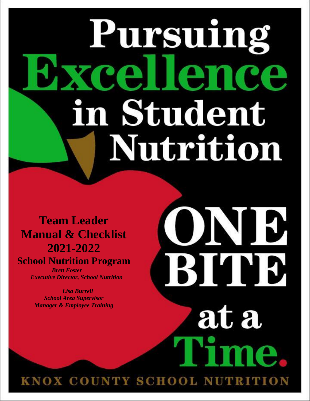# Pursuing rellence in Student Nutrition

O

**BISTE** 

at a

**J** 

**Team Leader Manual & Checklist 2021-2022 School Nutrition Program**

> *Brett Foster Executive Director, School Nutrition*

 *Lisa Burrell School Area Supervisor Manager & Employee Training*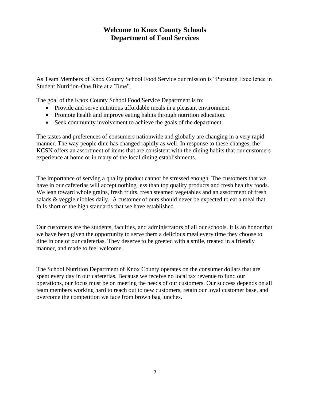## **Welcome to Knox County Schools Department of Food Services**

As Team Members of Knox County School Food Service our mission is "Pursuing Excellence in Student Nutrition-One Bite at a Time".

The goal of the Knox County School Food Service Department is to:

- Provide and serve nutritious affordable meals in a pleasant environment.
- Promote health and improve eating habits through nutrition education.
- Seek community involvement to achieve the goals of the department.

The tastes and preferences of consumers nationwide and globally are changing in a very rapid manner. The way people dine has changed rapidly as well. In response to these changes, the KCSN offers an assortment of items that are consistent with the dining habits that our customers experience at home or in many of the local dining establishments.

The importance of serving a quality product cannot be stressed enough. The customers that we have in our cafeterias will accept nothing less than top quality products and fresh healthy foods. We lean toward whole grains, fresh fruits, fresh steamed vegetables and an assortment of fresh salads & veggie nibbles daily. A customer of ours should never be expected to eat a meal that falls short of the high standards that we have established.

Our customers are the students, faculties, and administrators of all our schools. It is an honor that we have been given the opportunity to serve them a delicious meal every time they choose to dine in one of our cafeterias. They deserve to be greeted with a smile, treated in a friendly manner, and made to feel welcome.

The School Nutrition Department of Knox County operates on the consumer dollars that are spent every day in our cafeterias. Because we receive no local tax revenue to fund our operations, our focus must be on meeting the needs of our customers. Our success depends on all team members working hard to reach out to new customers, retain our loyal customer base, and overcome the competition we face from brown bag lunches.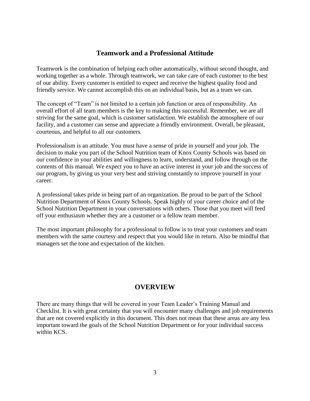#### **Teamwork and a Professional Attitude**

Teamwork is the combination of helping each other automatically, without second thought, and working together as a whole. Through teamwork, we can take care of each customer to the best of our ability. Every customer is entitled to expect and receive the highest quality food and friendly service. We cannot accomplish this on an individual basis, but as a team we can.

The concept of "Team" is not limited to a certain job function or area of responsibility. An overall effort of all team members is the key to making this successful. Remember, we are all striving for the same goal, which is customer satisfaction. We establish the atmosphere of our facility, and a customer can sense and appreciate a friendly environment. Overall, be pleasant, courteous, and helpful to all our customers.

Professionalism is an attitude. You must have a sense of pride in yourself and your job. The decision to make you part of the School Nutrition team of Knox County Schools was based on our confidence in your abilities and willingness to learn, understand, and follow through on the contents of this manual. We expect you to have an active interest in your job and the success of our program, by giving us your very best and striving constantly to improve yourself in your career.

A professional takes pride in being part of an organization. Be proud to be part of the School Nutrition Department of Knox County Schools. Speak highly of your career choice and of the School Nutrition Department in your conversations with others. Those that you meet will feed off your enthusiasm whether they are a customer or a fellow team member.

The most important philosophy for a professional to follow is to treat your customers and team members with the same courtesy and respect that you would like in return. Also be mindful that managers set the tone and expectation of the kitchen.

#### **OVERVIEW**

There are many things that will be covered in your Team Leader's Training Manual and Checklist. It is with great certainty that you will encounter many challenges and job requirements that are not covered explicitly in this document. This does not mean that these areas are any less important toward the goals of the School Nutrition Department or for your individual success within KCS.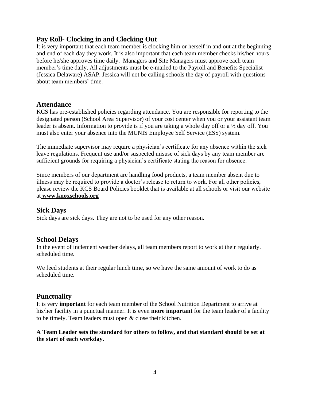## **Pay Roll- Clocking in and Clocking Out**

It is very important that each team member is clocking him or herself in and out at the beginning and end of each day they work. It is also important that each team member checks his/her hours before he/she approves time daily. Managers and Site Managers must approve each team member's time daily. All adjustments must be e-mailed to the Payroll and Benefits Specialist (Jessica Delaware) ASAP. Jessica will not be calling schools the day of payroll with questions about team members' time.

## **Attendance**

KCS has pre-established policies regarding attendance. You are responsible for reporting to the designated person (School Area Supervisor) of your cost center when you or your assistant team leader is absent. Information to provide is if you are taking a whole day off or a ½ day off. You must also enter your absence into the MUNIS Employee Self Service (ESS) system.

The immediate supervisor may require a physician's certificate for any absence within the sick leave regulations. Frequent use and/or suspected misuse of sick days by any team member are sufficient grounds for requiring a physician's certificate stating the reason for absence.

Since members of our department are handling food products, a team member absent due to illness may be required to provide a doctor's release to return to work. For all other policies, please review the KCS Board Policies booklet that is available at all schools or visit our website at **www.knoxschools.org**

#### **Sick Days**

Sick days are sick days. They are not to be used for any other reason.

#### **School Delays**

In the event of inclement weather delays, all team members report to work at their regularly. scheduled time.

We feed students at their regular lunch time, so we have the same amount of work to do as scheduled time.

## **Punctuality**

It is very **important** for each team member of the School Nutrition Department to arrive at his/her facility in a punctual manner. It is even **more important** for the team leader of a facility to be timely. Team leaders must open & close their kitchen.

#### **A Team Leader sets the standard for others to follow, and that standard should be set at the start of each workday.**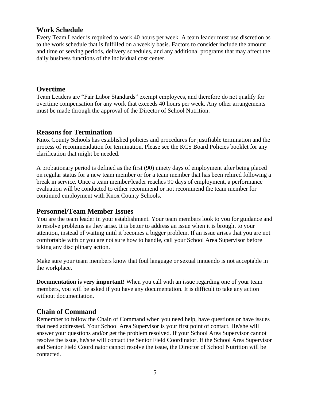## **Work Schedule**

Every Team Leader is required to work 40 hours per week. A team leader must use discretion as to the work schedule that is fulfilled on a weekly basis. Factors to consider include the amount and time of serving periods, delivery schedules, and any additional programs that may affect the daily business functions of the individual cost center.

#### **Overtime**

Team Leaders are "Fair Labor Standards" exempt employees, and therefore do not qualify for overtime compensation for any work that exceeds 40 hours per week. Any other arrangements must be made through the approval of the Director of School Nutrition.

#### **Reasons for Termination**

Knox County Schools has established policies and procedures for justifiable termination and the process of recommendation for termination. Please see the KCS Board Policies booklet for any clarification that might be needed.

A probationary period is defined as the first (90) ninety days of employment after being placed on regular status for a new team member or for a team member that has been rehired following a break in service. Once a team member/leader reaches 90 days of employment, a performance evaluation will be conducted to either recommend or not recommend the team member for continued employment with Knox County Schools.

#### **Personnel/Team Member Issues**

You are the team leader in your establishment. Your team members look to you for guidance and to resolve problems as they arise. It is better to address an issue when it is brought to your attention, instead of waiting until it becomes a bigger problem. If an issue arises that you are not comfortable with or you are not sure how to handle, call your School Area Supervisor before taking any disciplinary action.

Make sure your team members know that foul language or sexual innuendo is not acceptable in the workplace.

**Documentation is very important!** When you call with an issue regarding one of your team members, you will be asked if you have any documentation. It is difficult to take any action without documentation.

## **Chain of Command**

Remember to follow the Chain of Command when you need help, have questions or have issues that need addressed. Your School Area Supervisor is your first point of contact. He/she will answer your questions and/or get the problem resolved. If your School Area Supervisor cannot resolve the issue, he/she will contact the Senior Field Coordinator. If the School Area Supervisor and Senior Field Coordinator cannot resolve the issue, the Director of School Nutrition will be contacted.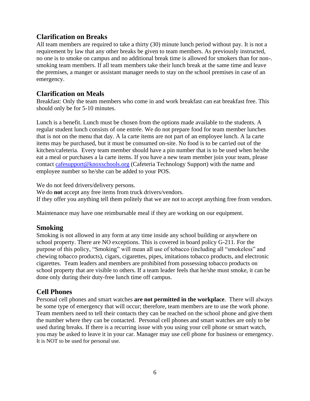## **Clarification on Breaks**

All team members are required to take a thirty (30) minute lunch period without pay. It is not a requirement by law that any other breaks be given to team members. As previously instructed, no one is to smoke on campus and no additional break time is allowed for smokers than for non-. smoking team members. If all team members take their lunch break at the same time and leave the premises, a manger or assistant manager needs to stay on the school premises in case of an emergency.

## **Clarification on Meals**

Breakfast: Only the team members who come in and work breakfast can eat breakfast free. This should only be for 5-10 minutes.

Lunch is a benefit. Lunch must be chosen from the options made available to the students. A regular student lunch consists of one entrée. We do not prepare food for team member lunches that is not on the menu that day. A la carte items are not part of an employee lunch. A la carte items may be purchased, but it must be consumed on-site. No food is to be carried out of the kitchen/cafeteria. Every team member should have a pin number that is to be used when he/she eat a meal or purchases a la carte items. If you have a new team member join your team, please contact [cafesupport@knoxschools.org](mailto:cafesupport@knoxschools.org) (Cafeteria Technology Support) with the name and employee number so he/she can be added to your POS.

We do not feed drivers/delivery persons.

We do **not** accept any free items from truck drivers/vendors. If they offer you anything tell them politely that we are not to accept anything free from vendors.

Maintenance may have one reimbursable meal if they are working on our equipment.

#### **Smoking**

Smoking is not allowed in any form at any time inside any school building or anywhere on school property. There are NO exceptions. This is covered in board policy G-211. For the purpose of this policy, "Smoking" will mean all use of tobacco (including all "smokeless" and chewing tobacco products), cigars, cigarettes, pipes, imitations tobacco products, and electronic cigarettes. Team leaders and members are prohibited from possessing tobacco products on school property that are visible to others. If a team leader feels that he/she must smoke, it can be done only during their duty-free lunch time off campus.

## **Cell Phones**

Personal cell phones and smart watches **are not permitted in the workplace**. There will always be some type of emergency that will occur; therefore, team members are to use the work phone. Team members need to tell their contacts they can be reached on the school phone and give them the number where they can be contacted. Personal cell phones and smart watches are only to be used during breaks. If there is a recurring issue with you using your cell phone or smart watch, you may be asked to leave it in your car. Manager may use cell phone for business or emergency. It is NOT to be used for personal use.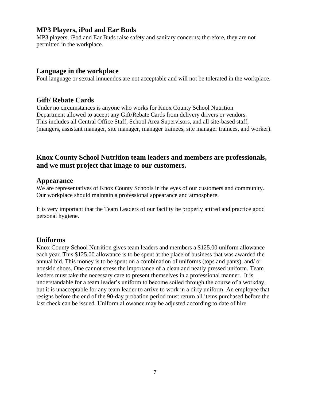## **MP3 Players, iPod and Ear Buds**

MP3 players, iPod and Ear Buds raise safety and sanitary concerns; therefore, they are not permitted in the workplace.

#### **Language in the workplace**

Foul language or sexual innuendos are not acceptable and will not be tolerated in the workplace.

## **Gift/ Rebate Cards**

Under no circumstances is anyone who works for Knox County School Nutrition Department allowed to accept any Gift/Rebate Cards from delivery drivers or vendors. This includes all Central Office Staff, School Area Supervisors, and all site-based staff, (mangers, assistant manager, site manager, manager trainees, site manager trainees, and worker).

## **Knox County School Nutrition team leaders and members are professionals, and we must project that image to our customers.**

#### **Appearance**

We are representatives of Knox County Schools in the eyes of our customers and community. Our workplace should maintain a professional appearance and atmosphere.

It is very important that the Team Leaders of our facility be properly attired and practice good personal hygiene.

## **Uniforms**

Knox County School Nutrition gives team leaders and members a \$125.00 uniform allowance each year. This \$125.00 allowance is to be spent at the place of business that was awarded the annual bid. This money is to be spent on a combination of uniforms (tops and pants), and/ or nonskid shoes. One cannot stress the importance of a clean and neatly pressed uniform. Team leaders must take the necessary care to present themselves in a professional manner. It is understandable for a team leader's uniform to become soiled through the course of a workday, but it is unacceptable for any team leader to arrive to work in a dirty uniform. An employee that resigns before the end of the 90-day probation period must return all items purchased before the last check can be issued. Uniform allowance may be adjusted according to date of hire.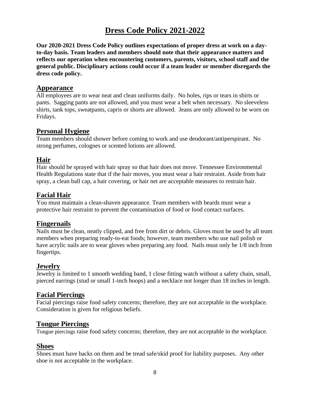# **Dress Code Policy 2021-2022**

**Our 2020-2021 Dress Code Policy outlines expectations of proper dress at work on a dayto-day basis. Team leaders and members should note that their appearance matters and reflects our operation when encountering customers, parents, visitors, school staff and the general public. Disciplinary actions could occur if a team leader or member disregards the dress code policy.**

#### **Appearance**

All employees are to wear neat and clean uniforms daily. No holes, rips or tears in shirts or pants. Sagging pants are not allowed, and you must wear a belt when necessary. No sleeveless shirts, tank tops, sweatpants, capris or shorts are allowed. Jeans are only allowed to be worn on Fridays.

## **Personal Hygiene**

Team members should shower before coming to work and use deodorant/antiperspirant. No strong perfumes, colognes or scented lotions are allowed.

## **Hair**

Hair should be sprayed with hair spray so that hair does not move. Tennessee Environmental Health Regulations state that if the hair moves, you must wear a hair restraint. Aside from hair spray, a clean ball cap, a hair covering, or hair net are acceptable measures to restrain hair.

## **Facial Hair**

You must maintain a clean-shaven appearance. Team members with beards must wear a protective hair restraint to prevent the contamination of food or food contact surfaces.

## **Fingernails**

Nails must be clean, neatly clipped, and free from dirt or debris. Gloves must be used by all team members when preparing ready-to-eat foods; however, team members who use nail polish or have acrylic nails are to wear gloves when preparing any food. Nails must only be 1/8 inch from fingertips.

## **Jewelry**

Jewelry is limited to 1 smooth wedding band, 1 close fitting watch without a safety chain, small, pierced earrings (stud or small 1-inch hoops) and a necklace not longer than 18 inches in length.

## **Facial Piercings**

Facial piercings raise food safety concerns; therefore, they are not acceptable in the workplace. Consideration is given for religious beliefs.

## **Tongue Piercings**

Tongue piercings raise food safety concerns; therefore, they are not acceptable in the workplace.

## **Shoes**

Shoes must have backs on them and be tread safe/skid proof for liability purposes. Any other shoe is not acceptable in the workplace.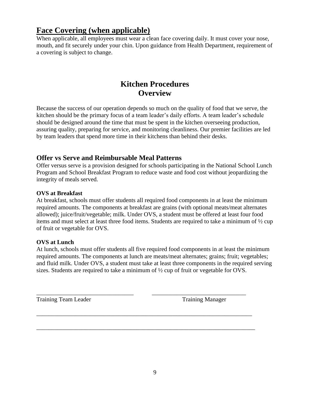# **Face Covering (when applicable)**

When applicable, all employees must wear a clean face covering daily. It must cover your nose, mouth, and fit securely under your chin. Upon guidance from Health Department, requirement of a covering is subject to change.

# **Kitchen Procedures Overview**

Because the success of our operation depends so much on the quality of food that we serve, the kitchen should be the primary focus of a team leader's daily efforts. A team leader's schedule should be designed around the time that must be spent in the kitchen overseeing production, assuring quality, preparing for service, and monitoring cleanliness. Our premier facilities are led by team leaders that spend more time in their kitchens than behind their desks.

## **Offer vs Serve and Reimbursable Meal Patterns**

Offer versus serve is a provision designed for schools participating in the National School Lunch Program and School Breakfast Program to reduce waste and food cost without jeopardizing the integrity of meals served.

#### **OVS at Breakfast**

At breakfast, schools must offer students all required food components in at least the minimum required amounts. The components at breakfast are grains (with optional meats/meat alternates allowed); juice/fruit/vegetable; milk. Under OVS, a student must be offered at least four food items and must select at least three food items. Students are required to take a minimum of ½ cup of fruit or vegetable for OVS.

#### **OVS at Lunch**

At lunch, schools must offer students all five required food components in at least the minimum required amounts. The components at lunch are meats/meat alternates; grains; fruit; vegetables; and fluid milk. Under OVS, a student must take at least three components in the required serving sizes. Students are required to take a minimum of ½ cup of fruit or vegetable for OVS.

\_\_\_\_\_\_\_\_\_\_\_\_\_\_\_\_\_\_\_\_\_\_\_\_\_\_\_\_\_\_\_\_ \_\_\_\_\_\_\_\_\_\_\_\_\_\_\_\_\_\_\_\_\_\_\_\_\_\_\_\_\_\_\_

\_\_\_\_\_\_\_\_\_\_\_\_\_\_\_\_\_\_\_\_\_\_\_\_\_\_\_\_\_\_\_\_\_\_\_\_\_\_\_\_\_\_\_\_\_\_\_\_\_\_\_\_\_\_\_\_\_\_\_\_\_\_\_\_\_\_\_\_\_\_\_

\_\_\_\_\_\_\_\_\_\_\_\_\_\_\_\_\_\_\_\_\_\_\_\_\_\_\_\_\_\_\_\_\_\_\_\_\_\_\_\_\_\_\_\_\_\_\_\_\_\_\_\_\_\_\_\_\_\_\_\_\_\_\_\_\_\_\_\_\_\_\_\_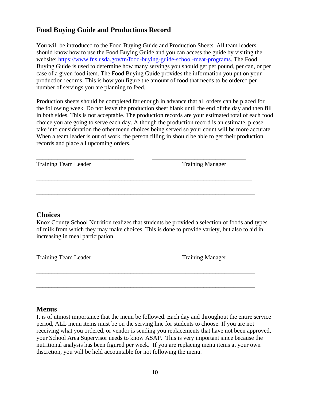## **Food Buying Guide and Productions Record**

You will be introduced to the Food Buying Guide and Production Sheets. All team leaders should know how to use the Food Buying Guide and you can access the guide by visiting the website: [https://www.fns.usda.gov/tn/food-buying-guide-school-meat-programs.](https://www.fns.usda.gov/tn/food-buying-guide-school-meat-programs) The Food Buying Guide is used to determine how many servings you should get per pound, per can, or per case of a given food item. The Food Buying Guide provides the information you put on your production records. This is how you figure the amount of food that needs to be ordered per number of servings you are planning to feed.

Production sheets should be completed far enough in advance that all orders can be placed for the following week. Do not leave the production sheet blank until the end of the day and then fill in both sides. This is not acceptable. The production records are your estimated total of each food choice you are going to serve each day. Although the production record is an estimate, please take into consideration the other menu choices being served so your count will be more accurate. When a team leader is out of work, the person filling in should be able to get their production records and place all upcoming orders.

\_\_\_\_\_\_\_\_\_\_\_\_\_\_\_\_\_\_\_\_\_\_\_\_\_\_\_\_\_\_\_\_ \_\_\_\_\_\_\_\_\_\_\_\_\_\_\_\_\_\_\_\_\_\_\_\_\_\_\_\_\_\_\_

\_\_\_\_\_\_\_\_\_\_\_\_\_\_\_\_\_\_\_\_\_\_\_\_\_\_\_\_\_\_\_\_\_\_\_\_\_\_\_\_\_\_\_\_\_\_\_\_\_\_\_\_\_\_\_\_\_\_\_\_\_\_\_\_\_\_\_\_\_\_\_

\_\_\_\_\_\_\_\_\_\_\_\_\_\_\_\_\_\_\_\_\_\_\_\_\_\_\_\_\_\_\_\_\_\_\_\_\_\_\_\_\_\_\_\_\_\_\_\_\_\_\_\_\_\_\_\_\_\_\_\_\_\_\_\_\_\_\_\_\_\_\_\_

Training Team Leader Training Manager

#### **Choices**

Knox County School Nutrition realizes that students be provided a selection of foods and types of milk from which they may make choices. This is done to provide variety, but also to aid in increasing in meal participation.

**\_\_\_\_\_\_\_\_\_\_\_\_\_\_\_\_\_\_\_\_\_\_\_\_\_\_\_\_\_\_\_\_\_\_\_\_\_\_\_\_\_\_\_\_\_\_\_\_\_\_\_\_\_\_\_\_\_\_\_\_\_\_\_\_\_\_\_\_\_\_\_\_**

**\_\_\_\_\_\_\_\_\_\_\_\_\_\_\_\_\_\_\_\_\_\_\_\_\_\_\_\_\_\_\_\_\_\_\_\_\_\_\_\_\_\_\_\_\_\_\_\_\_\_\_\_\_\_\_\_\_\_\_\_\_\_\_\_\_\_\_\_\_\_\_\_**

\_\_\_\_\_\_\_\_\_\_\_\_\_\_\_\_\_\_\_\_\_\_\_\_\_\_\_\_\_\_\_\_ \_\_\_\_\_\_\_\_\_\_\_\_\_\_\_\_\_\_\_\_\_\_\_\_\_\_\_\_\_\_\_ Training Team Leader Training Manager

#### **Menus**

It is of utmost importance that the menu be followed. Each day and throughout the entire service period, ALL menu items must be on the serving line for students to choose. If you are not receiving what you ordered, or vendor is sending you replacements that have not been approved, your School Area Supervisor needs to know ASAP. This is very important since because the nutritional analysis has been figured per week. If you are replacing menu items at your own discretion, you will be held accountable for not following the menu.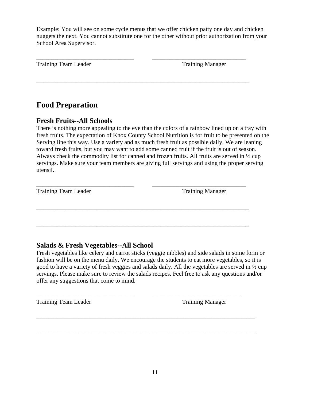Example: You will see on some cycle menus that we offer chicken patty one day and chicken nuggets the next. You cannot substitute one for the other without prior authorization from your School Area Supervisor.

\_\_\_\_\_\_\_\_\_\_\_\_\_\_\_\_\_\_\_\_\_\_\_\_\_\_\_\_\_\_\_\_ \_\_\_\_\_\_\_\_\_\_\_\_\_\_\_\_\_\_\_\_\_\_\_\_\_\_\_\_\_\_\_

\_\_\_\_\_\_\_\_\_\_\_\_\_\_\_\_\_\_\_\_\_\_\_\_\_\_\_\_\_\_\_\_\_\_\_\_\_\_\_\_\_\_\_\_\_\_\_\_\_\_\_\_\_\_\_\_\_\_\_\_

Training Team Leader Training Manager

# **Food Preparation**

## **Fresh Fruits--All Schools**

There is nothing more appealing to the eye than the colors of a rainbow lined up on a tray with fresh fruits. The expectation of Knox County School Nutrition is for fruit to be presented on the Serving line this way. Use a variety and as much fresh fruit as possible daily. We are leaning toward fresh fruits, but you may want to add some canned fruit if the fruit is out of season. Always check the commodity list for canned and frozen fruits. All fruits are served in ½ cup servings. Make sure your team members are giving full servings and using the proper serving utensil.

\_\_\_\_\_\_\_\_\_\_\_\_\_\_\_\_\_\_\_\_\_\_\_\_\_\_\_\_\_\_\_\_ \_\_\_\_\_\_\_\_\_\_\_\_\_\_\_\_\_\_\_\_\_\_\_\_\_\_\_\_\_\_\_ Training Team Leader Training Manager

## **Salads & Fresh Vegetables--All School**

Fresh vegetables like celery and carrot sticks (veggie nibbles) and side salads in some form or fashion will be on the menu daily. We encourage the students to eat more vegetables, so it is good to have a variety of fresh veggies and salads daily. All the vegetables are served in ½ cup servings. Please make sure to review the salads recipes. Feel free to ask any questions and/or offer any suggestions that come to mind.

\_\_\_\_\_\_\_\_\_\_\_\_\_\_\_\_\_\_\_\_\_\_\_\_\_\_\_\_\_\_\_\_\_\_\_\_\_\_\_\_\_\_\_\_\_\_\_\_\_\_\_\_\_\_\_\_\_\_\_\_

\_\_\_\_\_\_\_\_\_\_\_\_\_\_\_\_\_\_\_\_\_\_\_\_\_\_\_\_\_\_\_\_\_\_\_\_\_\_\_\_\_\_\_\_\_\_\_\_\_\_\_\_\_\_\_\_\_\_\_\_

\_\_\_\_\_\_\_\_\_\_\_\_\_\_\_\_\_\_\_\_\_\_\_\_\_\_\_\_\_\_\_\_ \_\_\_\_\_\_\_\_\_\_\_\_\_\_\_\_\_\_\_\_\_\_\_\_\_\_\_\_\_

\_\_\_\_\_\_\_\_\_\_\_\_\_\_\_\_\_\_\_\_\_\_\_\_\_\_\_\_\_\_\_\_\_\_\_\_\_\_\_\_\_\_\_\_\_\_\_\_\_\_\_\_\_\_\_\_\_\_\_\_\_\_\_\_\_\_\_\_\_\_\_\_

\_\_\_\_\_\_\_\_\_\_\_\_\_\_\_\_\_\_\_\_\_\_\_\_\_\_\_\_\_\_\_\_\_\_\_\_\_\_\_\_\_\_\_\_\_\_\_\_\_\_\_\_\_\_\_\_\_\_\_\_\_\_\_\_\_\_\_\_\_\_\_\_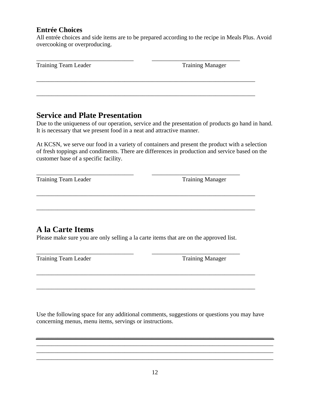## **Entrée Choices**

All entrée choices and side items are to be prepared according to the recipe in Meals Plus. Avoid overcooking or overproducing.

| Training Team Leader | <b>Training Manager</b> |
|----------------------|-------------------------|
|                      |                         |
|                      |                         |

## **Service and Plate Presentation**

Due to the uniqueness of our operation, service and the presentation of products go hand in hand. It is necessary that we present food in a neat and attractive manner.

At KCSN, we serve our food in a variety of containers and present the product with a selection of fresh toppings and condiments. There are differences in production and service based on the customer base of a specific facility.

Training Team Leader Training Manager

# **A la Carte Items**

Please make sure you are only selling a la carte items that are on the approved list.

\_\_\_\_\_\_\_\_\_\_\_\_\_\_\_\_\_\_\_\_\_\_\_\_\_\_\_\_\_\_\_\_ \_\_\_\_\_\_\_\_\_\_\_\_\_\_\_\_\_\_\_\_\_\_\_\_\_\_\_\_\_

\_\_\_\_\_\_\_\_\_\_\_\_\_\_\_\_\_\_\_\_\_\_\_\_\_\_\_\_\_\_\_\_\_\_\_\_\_\_\_\_\_\_\_\_\_\_\_\_\_\_\_\_\_\_\_\_\_\_\_\_\_\_\_\_\_\_\_\_\_\_\_\_

\_\_\_\_\_\_\_\_\_\_\_\_\_\_\_\_\_\_\_\_\_\_\_\_\_\_\_\_\_\_\_\_\_\_\_\_\_\_\_\_\_\_\_\_\_\_\_\_\_\_\_\_\_\_\_\_\_\_\_\_\_\_\_\_\_\_\_\_\_\_\_\_

\_\_\_\_\_\_\_\_\_\_\_\_\_\_\_\_\_\_\_\_\_\_\_\_\_\_\_\_\_\_\_\_\_\_\_\_\_\_\_\_\_\_\_\_\_\_\_\_\_\_\_\_\_\_\_\_\_\_\_\_\_\_\_\_\_\_\_\_\_\_\_\_

\_\_\_\_\_\_\_\_\_\_\_\_\_\_\_\_\_\_\_\_\_\_\_\_\_\_\_\_\_\_\_\_\_\_\_\_\_\_\_\_\_\_\_\_\_\_\_\_\_\_\_\_\_\_\_\_\_\_\_\_\_\_\_\_\_\_\_\_\_\_\_\_

\_\_\_\_\_\_\_\_\_\_\_\_\_\_\_\_\_\_\_\_\_\_\_\_\_\_\_\_\_\_\_\_ \_\_\_\_\_\_\_\_\_\_\_\_\_\_\_\_\_\_\_\_\_\_\_\_\_\_\_\_\_ Training Team Leader Training Manager

Use the following space for any additional comments, suggestions or questions you may have concerning menus, menu items, servings or instructions.

\_\_\_\_\_\_\_\_\_\_\_\_\_\_\_\_\_\_\_\_\_\_\_\_\_\_\_\_\_\_\_\_\_\_\_\_\_\_\_\_\_\_\_\_\_\_\_\_\_\_\_\_\_\_\_\_\_\_\_\_\_\_\_\_\_\_\_\_\_\_\_\_\_\_\_\_\_\_ \_\_\_\_\_\_\_\_\_\_\_\_\_\_\_\_\_\_\_\_\_\_\_\_\_\_\_\_\_\_\_\_\_\_\_\_\_\_\_\_\_\_\_\_\_\_\_\_\_\_\_\_\_\_\_\_\_\_\_\_\_\_\_\_\_\_\_\_\_\_\_\_\_\_\_\_\_\_ \_\_\_\_\_\_\_\_\_\_\_\_\_\_\_\_\_\_\_\_\_\_\_\_\_\_\_\_\_\_\_\_\_\_\_\_\_\_\_\_\_\_\_\_\_\_\_\_\_\_\_\_\_\_\_\_\_\_\_\_\_\_\_\_\_\_\_\_\_\_\_\_\_\_\_\_\_\_ \_\_\_\_\_\_\_\_\_\_\_\_\_\_\_\_\_\_\_\_\_\_\_\_\_\_\_\_\_\_\_\_\_\_\_\_\_\_\_\_\_\_\_\_\_\_\_\_\_\_\_\_\_\_\_\_\_\_\_\_\_\_\_\_\_\_\_\_\_\_\_\_\_\_\_\_\_\_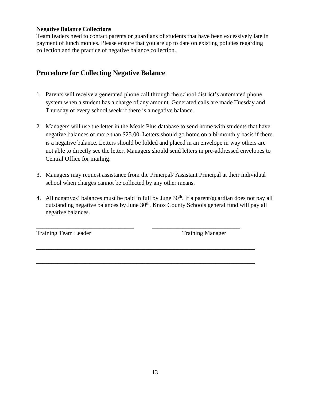#### **Negative Balance Collections**

Team leaders need to contact parents or guardians of students that have been excessively late in payment of lunch monies. Please ensure that you are up to date on existing policies regarding collection and the practice of negative balance collection.

## **Procedure for Collecting Negative Balance**

- 1. Parents will receive a generated phone call through the school district's automated phone system when a student has a charge of any amount. Generated calls are made Tuesday and Thursday of every school week if there is a negative balance.
- 2. Managers will use the letter in the Meals Plus database to send home with students that have negative balances of more than \$25.00. Letters should go home on a bi-monthly basis if there is a negative balance. Letters should be folded and placed in an envelope in way others are not able to directly see the letter. Managers should send letters in pre-addressed envelopes to Central Office for mailing.
- 3. Managers may request assistance from the Principal/ Assistant Principal at their individual school when charges cannot be collected by any other means.
- 4. All negatives' balances must be paid in full by June  $30<sup>th</sup>$ . If a parent/guardian does not pay all outstanding negative balances by June 30<sup>th</sup>, Knox County Schools general fund will pay all negative balances.

\_\_\_\_\_\_\_\_\_\_\_\_\_\_\_\_\_\_\_\_\_\_\_\_\_\_\_\_\_\_\_\_ \_\_\_\_\_\_\_\_\_\_\_\_\_\_\_\_\_\_\_\_\_\_\_\_\_\_\_\_\_

\_\_\_\_\_\_\_\_\_\_\_\_\_\_\_\_\_\_\_\_\_\_\_\_\_\_\_\_\_\_\_\_\_\_\_\_\_\_\_\_\_\_\_\_\_\_\_\_\_\_\_\_\_\_\_\_\_\_\_\_\_\_\_\_\_\_\_\_\_\_\_\_

\_\_\_\_\_\_\_\_\_\_\_\_\_\_\_\_\_\_\_\_\_\_\_\_\_\_\_\_\_\_\_\_\_\_\_\_\_\_\_\_\_\_\_\_\_\_\_\_\_\_\_\_\_\_\_\_\_\_\_\_\_\_\_\_\_\_\_\_\_\_\_\_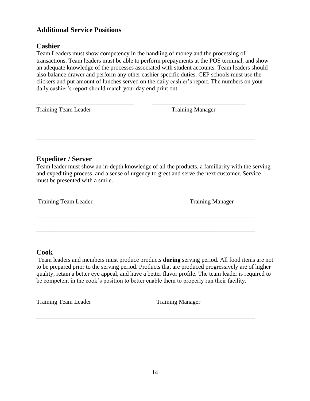## **Additional Service Positions**

## **Cashier**

Team Leaders must show competency in the handling of money and the processing of transactions. Team leaders must be able to perform prepayments at the POS terminal, and show an adequate knowledge of the processes associated with student accounts. Team leaders should also balance drawer and perform any other cashier specific duties. CEP schools must use the clickers and put amount of lunches served on the daily cashier's report. The numbers on your daily cashier's report should match your day end print out.

| Training Team Leader | <b>Training Manager</b> |
|----------------------|-------------------------|
|                      |                         |
|                      |                         |

## **Expediter / Server**

Team leader must show an in-depth knowledge of all the products, a familiarity with the serving and expediting process, and a sense of urgency to greet and serve the next customer. Service must be presented with a smile.

\_\_\_\_\_\_\_\_\_\_\_\_\_\_\_\_\_\_\_\_\_\_\_\_\_\_\_\_\_\_\_ \_\_\_\_\_\_\_\_\_\_\_\_\_\_\_\_\_\_\_\_\_\_\_\_\_\_\_\_\_\_\_\_\_

\_\_\_\_\_\_\_\_\_\_\_\_\_\_\_\_\_\_\_\_\_\_\_\_\_\_\_\_\_\_\_\_\_\_\_\_\_\_\_\_\_\_\_\_\_\_\_\_\_\_\_\_\_\_\_\_\_\_\_\_\_\_\_\_\_\_\_\_\_\_\_\_

\_\_\_\_\_\_\_\_\_\_\_\_\_\_\_\_\_\_\_\_\_\_\_\_\_\_\_\_\_\_\_\_\_\_\_\_\_\_\_\_\_\_\_\_\_\_\_\_\_\_\_\_\_\_\_\_\_\_\_\_\_\_\_\_\_\_\_\_\_\_\_\_

\_\_\_\_\_\_\_\_\_\_\_\_\_\_\_\_\_\_\_\_\_\_\_\_\_\_\_\_\_\_\_\_ \_\_\_\_\_\_\_\_\_\_\_\_\_\_\_\_\_\_\_\_\_\_\_\_\_\_\_\_\_\_\_

\_\_\_\_\_\_\_\_\_\_\_\_\_\_\_\_\_\_\_\_\_\_\_\_\_\_\_\_\_\_\_\_\_\_\_\_\_\_\_\_\_\_\_\_\_\_\_\_\_\_\_\_\_\_\_\_\_\_\_\_\_\_\_\_\_\_\_\_\_\_\_\_

\_\_\_\_\_\_\_\_\_\_\_\_\_\_\_\_\_\_\_\_\_\_\_\_\_\_\_\_\_\_\_\_\_\_\_\_\_\_\_\_\_\_\_\_\_\_\_\_\_\_\_\_\_\_\_\_\_\_\_\_\_\_\_\_\_\_\_\_\_\_\_\_

Training Team Leader Training Manager

#### **Cook**

Team leaders and members must produce products **during** serving period. All food items are not to be prepared prior to the serving period. Products that are produced progressively are of higher quality, retain a better eye appeal, and have a better flavor profile. The team leader is required to be competent in the cook's position to better enable them to properly run their facility.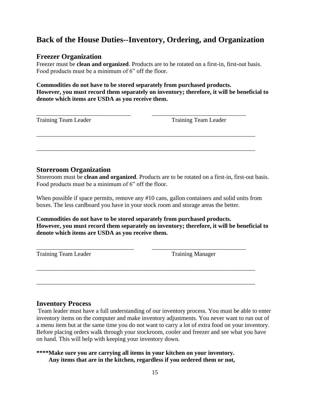# **Back of the House Duties--Inventory, Ordering, and Organization**

## **Freezer Organization**

Freezer must be **clean and organized**. Products are to be rotated on a first-in, first-out basis. Food products must be a minimum of 6" off the floor.

#### **Commodities do not have to be stored separately from purchased products. However, you must record them separately on inventory; therefore, it will be beneficial to denote which items are USDA as you receive them.**

\_\_\_\_\_\_\_\_\_\_\_\_\_\_\_\_\_\_\_\_\_\_\_\_\_\_\_\_\_\_\_ \_\_\_\_\_\_\_\_\_\_\_\_\_\_\_\_\_\_\_\_\_\_\_\_\_\_\_\_\_\_\_

\_\_\_\_\_\_\_\_\_\_\_\_\_\_\_\_\_\_\_\_\_\_\_\_\_\_\_\_\_\_\_\_\_\_\_\_\_\_\_\_\_\_\_\_\_\_\_\_\_\_\_\_\_\_\_\_\_\_\_\_\_\_\_\_\_\_\_\_\_\_\_\_

\_\_\_\_\_\_\_\_\_\_\_\_\_\_\_\_\_\_\_\_\_\_\_\_\_\_\_\_\_\_\_\_\_\_\_\_\_\_\_\_\_\_\_\_\_\_\_\_\_\_\_\_\_\_\_\_\_\_\_\_\_\_\_\_\_\_\_\_\_\_\_\_

Training Team Leader Training Team Leader

#### **Storeroom Organization**

Storeroom must be **clean and organized**. Products are to be rotated on a first-in, first-out basis. Food products must be a minimum of 6" off the floor.

When possible if space permits, remove any #10 cans, gallon containers and solid units from boxes. The less cardboard you have in your stock room and storage areas the better.

**Commodities do not have to be stored separately from purchased products. However, you must record them separately on inventory; therefore, it will be beneficial to denote which items are USDA as you receive them.**

\_\_\_\_\_\_\_\_\_\_\_\_\_\_\_\_\_\_\_\_\_\_\_\_\_\_\_\_\_\_\_\_\_\_\_\_\_\_\_\_\_\_\_\_\_\_\_\_\_\_\_\_\_\_\_\_\_\_\_\_\_\_\_\_\_\_\_\_\_\_\_\_

\_\_\_\_\_\_\_\_\_\_\_\_\_\_\_\_\_\_\_\_\_\_\_\_\_\_\_\_\_\_\_\_\_\_\_\_\_\_\_\_\_\_\_\_\_\_\_\_\_\_\_\_\_\_\_\_\_\_\_\_\_\_\_\_\_\_\_\_\_\_\_\_

Training Team Leader Training Manager

\_\_\_\_\_\_\_\_\_\_\_\_\_\_\_\_\_\_\_\_\_\_\_\_\_\_\_\_\_\_\_\_ \_\_\_\_\_\_\_\_\_\_\_\_\_\_\_\_\_\_\_\_\_\_\_\_\_\_\_\_\_\_\_

#### **Inventory Process**

Team leader must have a full understanding of our inventory process. You must be able to enter inventory items on the computer and make inventory adjustments. You never want to run out of a menu item but at the same time you do not want to carry a lot of extra food on your inventory. Before placing orders walk through your stockroom, cooler and freezer and see what you have on hand. This will help with keeping your inventory down.

**\*\*\*\*Make sure you are carrying all items in your kitchen on your inventory. Any items that are in the kitchen, regardless if you ordered them or not,**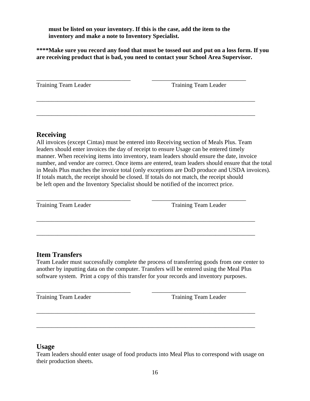**must be listed on your inventory. If this is the case, add the item to the inventory and make a note to Inventory Specialist.**

**\*\*\*\*Make sure you record any food that must be tossed out and put on a loss form. If you are receiving product that is bad, you need to contact your School Area Supervisor.**

| <b>Training Team Leader</b> | <b>Training Team Leader</b> |
|-----------------------------|-----------------------------|
|                             |                             |
|                             |                             |

\_\_\_\_\_\_\_\_\_\_\_\_\_\_\_\_\_\_\_\_\_\_\_\_\_\_\_\_\_\_\_\_\_\_\_\_\_\_\_\_\_\_\_\_\_\_\_\_\_\_\_\_\_\_\_\_\_\_\_\_\_\_\_\_\_\_\_\_\_\_\_\_

#### **Receiving**

All invoices (except Cintas) must be entered into Receiving section of Meals Plus. Team leaders should enter invoices the day of receipt to ensure Usage can be entered timely manner. When receiving items into inventory, team leaders should ensure the date, invoice number, and vendor are correct. Once items are entered, team leaders should ensure that the total in Meals Plus matches the invoice total (only exceptions are DoD produce and USDA invoices). If totals match, the receipt should be closed. If totals do not match, the receipt should be left open and the Inventory Specialist should be notified of the incorrect price.

\_\_\_\_\_\_\_\_\_\_\_\_\_\_\_\_\_\_\_\_\_\_\_\_\_\_\_\_\_\_\_ \_\_\_\_\_\_\_\_\_\_\_\_\_\_\_\_\_\_\_\_\_\_\_\_\_\_\_\_\_\_\_

\_\_\_\_\_\_\_\_\_\_\_\_\_\_\_\_\_\_\_\_\_\_\_\_\_\_\_\_\_\_\_\_\_\_\_\_\_\_\_\_\_\_\_\_\_\_\_\_\_\_\_\_\_\_\_\_\_\_\_\_\_\_\_\_\_\_\_\_\_\_\_\_

\_\_\_\_\_\_\_\_\_\_\_\_\_\_\_\_\_\_\_\_\_\_\_\_\_\_\_\_\_\_\_\_\_\_\_\_\_\_\_\_\_\_\_\_\_\_\_\_\_\_\_\_\_\_\_\_\_\_\_\_\_\_\_\_\_\_\_\_\_\_\_\_

Training Team Leader Training Team Leader

#### **Item Transfers**

Team Leader must successfully complete the process of transferring goods from one center to another by inputting data on the computer. Transfers will be entered using the Meal Plus software system. Print a copy of this transfer for your records and inventory purposes.

\_\_\_\_\_\_\_\_\_\_\_\_\_\_\_\_\_\_\_\_\_\_\_\_\_\_\_\_\_\_\_ \_\_\_\_\_\_\_\_\_\_\_\_\_\_\_\_\_\_\_\_\_\_\_\_\_\_\_\_\_\_\_

\_\_\_\_\_\_\_\_\_\_\_\_\_\_\_\_\_\_\_\_\_\_\_\_\_\_\_\_\_\_\_\_\_\_\_\_\_\_\_\_\_\_\_\_\_\_\_\_\_\_\_\_\_\_\_\_\_\_\_\_\_\_\_\_\_\_\_\_\_\_\_\_

\_\_\_\_\_\_\_\_\_\_\_\_\_\_\_\_\_\_\_\_\_\_\_\_\_\_\_\_\_\_\_\_\_\_\_\_\_\_\_\_\_\_\_\_\_\_\_\_\_\_\_\_\_\_\_\_\_\_\_\_\_\_\_\_\_\_\_\_\_\_\_\_

Training Team Leader Training Team Leader

#### **Usage**

Team leaders should enter usage of food products into Meal Plus to correspond with usage on their production sheets.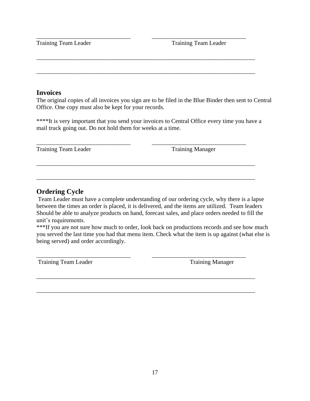Training Team Leader Training Team Leader

#### **Invoices**

The original copies of all invoices you sign are to be filed in the Blue Binder then sent to Central Office. One copy must also be kept for your records.

\*\*\*\*It is very important that you send your invoices to Central Office every time you have a mail truck going out. Do not hold them for weeks at a time.

\_\_\_\_\_\_\_\_\_\_\_\_\_\_\_\_\_\_\_\_\_\_\_\_\_\_\_\_\_\_\_ \_\_\_\_\_\_\_\_\_\_\_\_\_\_\_\_\_\_\_\_\_\_\_\_\_\_\_\_\_\_\_

\_\_\_\_\_\_\_\_\_\_\_\_\_\_\_\_\_\_\_\_\_\_\_\_\_\_\_\_\_\_\_\_\_\_\_\_\_\_\_\_\_\_\_\_\_\_\_\_\_\_\_\_\_\_\_\_\_\_\_\_\_\_\_\_\_\_\_\_\_\_\_\_

\_\_\_\_\_\_\_\_\_\_\_\_\_\_\_\_\_\_\_\_\_\_\_\_\_\_\_\_\_\_\_\_\_\_\_\_\_\_\_\_\_\_\_\_\_\_\_\_\_\_\_\_\_\_\_\_\_\_\_\_\_\_\_\_\_\_\_\_\_\_\_\_

\_\_\_\_\_\_\_\_\_\_\_\_\_\_\_\_\_\_\_\_\_\_\_\_\_\_\_\_\_\_\_ \_\_\_\_\_\_\_\_\_\_\_\_\_\_\_\_\_\_\_\_\_\_\_\_\_\_\_\_\_\_\_

\_\_\_\_\_\_\_\_\_\_\_\_\_\_\_\_\_\_\_\_\_\_\_\_\_\_\_\_\_\_\_\_\_\_\_\_\_\_\_\_\_\_\_\_\_\_\_\_\_\_\_\_\_\_\_\_\_\_\_\_\_\_\_\_\_\_\_\_\_\_\_\_

\_\_\_\_\_\_\_\_\_\_\_\_\_\_\_\_\_\_\_\_\_\_\_\_\_\_\_\_\_\_\_\_\_\_\_\_\_\_\_\_\_\_\_\_\_\_\_\_\_\_\_\_\_\_\_\_\_\_\_\_\_\_\_\_\_\_\_\_\_\_\_\_

Training Team Leader Training Manager

## **Ordering Cycle**

Team Leader must have a complete understanding of our ordering cycle, why there is a lapse between the times an order is placed, it is delivered, and the items are utilized. Team leaders Should be able to analyze products on hand, forecast sales, and place orders needed to fill the unit's requirements.

\*\*\*If you are not sure how much to order, look back on productions records and see how much you served the last time you had that menu item. Check what the item is up against (what else is being served) and order accordingly.

\_\_\_\_\_\_\_\_\_\_\_\_\_\_\_\_\_\_\_\_\_\_\_\_\_\_\_\_\_\_\_\_\_\_\_\_\_\_\_\_\_\_\_\_\_\_\_\_\_\_\_\_\_\_\_\_\_\_\_\_\_\_\_\_\_\_\_\_\_\_\_\_

\_\_\_\_\_\_\_\_\_\_\_\_\_\_\_\_\_\_\_\_\_\_\_\_\_\_\_\_\_\_\_\_\_\_\_\_\_\_\_\_\_\_\_\_\_\_\_\_\_\_\_\_\_\_\_\_\_\_\_\_\_\_\_\_\_\_\_\_\_\_\_\_

Training Team Leader Training Manager

\_\_\_\_\_\_\_\_\_\_\_\_\_\_\_\_\_\_\_\_\_\_\_\_\_\_\_\_\_\_\_ \_\_\_\_\_\_\_\_\_\_\_\_\_\_\_\_\_\_\_\_\_\_\_\_\_\_\_\_\_\_\_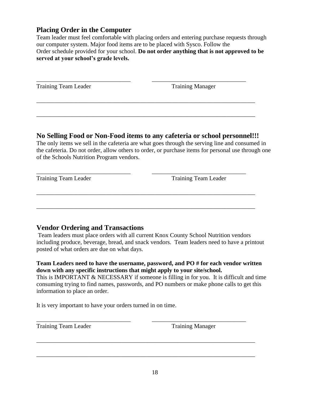## **Placing Order in the Computer**

Team leader must feel comfortable with placing orders and entering purchase requests through our computer system. Major food items are to be placed with Sysco. Follow the Order schedule provided for your school. **Do not order anything that is not approved to be served at your school's grade levels.**

| <b>Training Team Leader</b> | <b>Training Manager</b> |  |
|-----------------------------|-------------------------|--|
|                             |                         |  |

\_\_\_\_\_\_\_\_\_\_\_\_\_\_\_\_\_\_\_\_\_\_\_\_\_\_\_\_\_\_\_\_\_\_\_\_\_\_\_\_\_\_\_\_\_\_\_\_\_\_\_\_\_\_\_\_\_\_\_\_\_\_\_\_\_\_\_\_\_\_\_\_

## **No Selling Food or Non-Food items to any cafeteria or school personnel!!!**

\_\_\_\_\_\_\_\_\_\_\_\_\_\_\_\_\_\_\_\_\_\_\_\_\_\_\_\_\_\_\_ \_\_\_\_\_\_\_\_\_\_\_\_\_\_\_\_\_\_\_\_\_\_\_\_\_\_\_\_\_\_\_

\_\_\_\_\_\_\_\_\_\_\_\_\_\_\_\_\_\_\_\_\_\_\_\_\_\_\_\_\_\_\_\_\_\_\_\_\_\_\_\_\_\_\_\_\_\_\_\_\_\_\_\_\_\_\_\_\_\_\_\_\_\_\_\_\_\_\_\_\_\_\_\_

\_\_\_\_\_\_\_\_\_\_\_\_\_\_\_\_\_\_\_\_\_\_\_\_\_\_\_\_\_\_\_\_\_\_\_\_\_\_\_\_\_\_\_\_\_\_\_\_\_\_\_\_\_\_\_\_\_\_\_\_\_\_\_\_\_\_\_\_\_\_\_\_

The only items we sell in the cafeteria are what goes through the serving line and consumed in the cafeteria. Do not order, allow others to order, or purchase items for personal use through one of the Schools Nutrition Program vendors.

| <b>Training Team Leader</b> |  |  |
|-----------------------------|--|--|
|-----------------------------|--|--|

Training Team Leader

## **Vendor Ordering and Transactions**

Team leaders must place orders with all current Knox County School Nutrition vendors including produce, beverage, bread, and snack vendors. Team leaders need to have a printout posted of what orders are due on what days.

**Team Leaders need to have the username, password, and PO # for each vendor written down with any specific instructions that might apply to your site/school.** 

This is IMPORTANT & NECESSARY if someone is filling in for you. It is difficult and time consuming trying to find names, passwords, and PO numbers or make phone calls to get this information to place an order.

\_\_\_\_\_\_\_\_\_\_\_\_\_\_\_\_\_\_\_\_\_\_\_\_\_\_\_\_\_\_\_ \_\_\_\_\_\_\_\_\_\_\_\_\_\_\_\_\_\_\_\_\_\_\_\_\_\_\_\_\_\_\_

\_\_\_\_\_\_\_\_\_\_\_\_\_\_\_\_\_\_\_\_\_\_\_\_\_\_\_\_\_\_\_\_\_\_\_\_\_\_\_\_\_\_\_\_\_\_\_\_\_\_\_\_\_\_\_\_\_\_\_\_\_\_\_\_\_\_\_\_\_\_\_\_

\_\_\_\_\_\_\_\_\_\_\_\_\_\_\_\_\_\_\_\_\_\_\_\_\_\_\_\_\_\_\_\_\_\_\_\_\_\_\_\_\_\_\_\_\_\_\_\_\_\_\_\_\_\_\_\_\_\_\_\_\_\_\_\_\_\_\_\_\_\_\_\_

It is very important to have your orders turned in on time.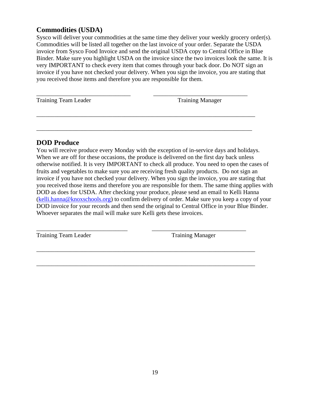## **Commodities (USDA)**

Sysco will deliver your commodities at the same time they deliver your weekly grocery order(s). Commodities will be listed all together on the last invoice of your order. Separate the USDA invoice from Sysco Food Invoice and send the original USDA copy to Central Office in Blue Binder. Make sure you highlight USDA on the invoice since the two invoices look the same. It is very IMPORTANT to check every item that comes through your back door. Do NOT sign an invoice if you have not checked your delivery. When you sign the invoice, you are stating that you received those items and therefore you are responsible for them.

\_\_\_\_\_\_\_\_\_\_\_\_\_\_\_\_\_\_\_\_\_\_\_\_\_\_\_\_\_\_\_\_\_\_\_\_\_\_\_\_\_\_\_\_\_\_\_\_\_\_\_\_\_\_\_\_\_\_\_\_\_\_\_\_\_\_\_\_\_\_\_\_

\_\_\_\_\_\_\_\_\_\_\_\_\_\_\_\_\_\_\_\_\_\_\_\_\_\_\_\_\_\_\_\_\_\_\_\_\_\_\_\_\_\_\_\_\_\_\_\_\_\_\_\_\_\_\_\_\_\_\_\_\_\_\_\_\_\_\_\_\_\_\_

\_\_\_\_\_\_\_\_\_\_\_\_\_\_\_\_\_\_\_\_\_\_\_\_\_\_\_\_\_\_ \_\_\_\_\_\_\_\_\_\_\_\_\_\_\_\_\_\_\_\_\_\_\_\_\_\_\_\_\_\_\_

\_\_\_\_\_\_\_\_\_\_\_\_\_\_\_\_\_\_\_\_\_\_\_\_\_\_\_\_\_\_\_\_\_\_\_\_\_\_\_\_\_\_\_\_\_\_\_\_\_\_\_\_\_\_\_\_\_\_\_\_\_\_\_\_\_\_\_\_\_\_\_\_

\_\_\_\_\_\_\_\_\_\_\_\_\_\_\_\_\_\_\_\_\_\_\_\_\_\_\_\_\_\_\_\_\_\_\_\_\_\_\_\_\_\_\_\_\_\_\_\_\_\_\_\_\_\_\_\_\_\_\_\_\_\_\_\_\_\_\_\_\_\_\_\_

\_\_\_\_\_\_\_\_\_\_\_\_\_\_\_\_\_\_\_\_\_\_\_\_\_\_\_\_\_\_\_ \_\_\_\_\_\_\_\_\_\_\_\_\_\_\_\_\_\_\_\_\_\_\_\_\_\_\_\_\_\_\_ Training Team Leader Training Manager

## **DOD Produce**

You will receive produce every Monday with the exception of in-service days and holidays. When we are off for these occasions, the produce is delivered on the first day back unless otherwise notified. It is very IMPORTANT to check all produce. You need to open the cases of fruits and vegetables to make sure you are receiving fresh quality products. Do not sign an invoice if you have not checked your delivery. When you sign the invoice, you are stating that you received those items and therefore you are responsible for them. The same thing applies with DOD as does for USDA. After checking your produce, please send an email to Kelli Hanna [\(kelli.hanna@knoxschools.org\)](mailto:kelli.hanna@knoxschools.org) to confirm delivery of order. Make sure you keep a copy of your DOD invoice for your records and then send the original to Central Office in your Blue Binder. Whoever separates the mail will make sure Kelli gets these invoices.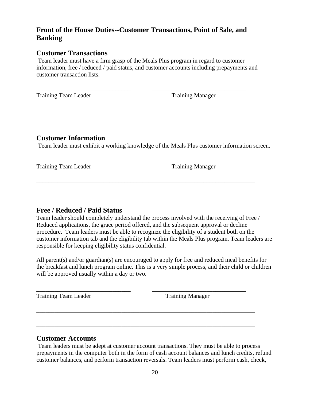## **Front of the House Duties--Customer Transactions, Point of Sale, and Banking**

#### **Customer Transactions**

Team leader must have a firm grasp of the Meals Plus program in regard to customer information, free / reduced / paid status, and customer accounts including prepayments and customer transaction lists.

\_\_\_\_\_\_\_\_\_\_\_\_\_\_\_\_\_\_\_\_\_\_\_\_\_\_\_\_\_\_\_ \_\_\_\_\_\_\_\_\_\_\_\_\_\_\_\_\_\_\_\_\_\_\_\_\_\_\_\_\_\_\_

\_\_\_\_\_\_\_\_\_\_\_\_\_\_\_\_\_\_\_\_\_\_\_\_\_\_\_\_\_\_\_\_\_\_\_\_\_\_\_\_\_\_\_\_\_\_\_\_\_\_\_\_\_\_\_\_\_\_\_\_\_\_\_\_\_\_\_\_\_\_\_\_

\_\_\_\_\_\_\_\_\_\_\_\_\_\_\_\_\_\_\_\_\_\_\_\_\_\_\_\_\_\_\_\_\_\_\_\_\_\_\_\_\_\_\_\_\_\_\_\_\_\_\_\_\_\_\_\_\_\_\_\_\_\_\_\_\_\_\_\_\_\_\_\_

\_\_\_\_\_\_\_\_\_\_\_\_\_\_\_\_\_\_\_\_\_\_\_\_\_\_\_\_\_\_\_ \_\_\_\_\_\_\_\_\_\_\_\_\_\_\_\_\_\_\_\_\_\_\_\_\_\_\_\_\_\_\_

\_\_\_\_\_\_\_\_\_\_\_\_\_\_\_\_\_\_\_\_\_\_\_\_\_\_\_\_\_\_\_\_\_\_\_\_\_\_\_\_\_\_\_\_\_\_\_\_\_\_\_\_\_\_\_\_\_\_\_\_\_\_\_\_\_\_\_\_\_\_\_\_

\_\_\_\_\_\_\_\_\_\_\_\_\_\_\_\_\_\_\_\_\_\_\_\_\_\_\_\_\_\_\_\_\_\_\_\_\_\_\_\_\_\_\_\_\_\_\_\_\_\_\_\_\_\_\_\_\_\_\_\_\_\_\_\_\_\_\_\_\_\_\_\_

Training Team Leader Training Manager

#### **Customer Information**

Team leader must exhibit a working knowledge of the Meals Plus customer information screen.

Training Team Leader Training Manager

#### **Free / Reduced / Paid Status**

Team leader should completely understand the process involved with the receiving of Free / Reduced applications, the grace period offered, and the subsequent approval or decline procedure. Team leaders must be able to recognize the eligibility of a student both on the customer information tab and the eligibility tab within the Meals Plus program. Team leaders are responsible for keeping eligibility status confidential.

All parent(s) and/or guardian(s) are encouraged to apply for free and reduced meal benefits for the breakfast and lunch program online. This is a very simple process, and their child or children will be approved usually within a day or two.

\_\_\_\_\_\_\_\_\_\_\_\_\_\_\_\_\_\_\_\_\_\_\_\_\_\_\_\_\_\_\_ \_\_\_\_\_\_\_\_\_\_\_\_\_\_\_\_\_\_\_\_\_\_\_\_\_\_\_\_\_\_\_

\_\_\_\_\_\_\_\_\_\_\_\_\_\_\_\_\_\_\_\_\_\_\_\_\_\_\_\_\_\_\_\_\_\_\_\_\_\_\_\_\_\_\_\_\_\_\_\_\_\_\_\_\_\_\_\_\_\_\_\_\_\_\_\_\_\_\_\_\_\_\_\_

\_\_\_\_\_\_\_\_\_\_\_\_\_\_\_\_\_\_\_\_\_\_\_\_\_\_\_\_\_\_\_\_\_\_\_\_\_\_\_\_\_\_\_\_\_\_\_\_\_\_\_\_\_\_\_\_\_\_\_\_\_\_\_\_\_\_\_\_\_\_\_\_

Training Team Leader Training Manager

## **Customer Accounts**

Team leaders must be adept at customer account transactions. They must be able to process prepayments in the computer both in the form of cash account balances and lunch credits, refund customer balances, and perform transaction reversals. Team leaders must perform cash, check,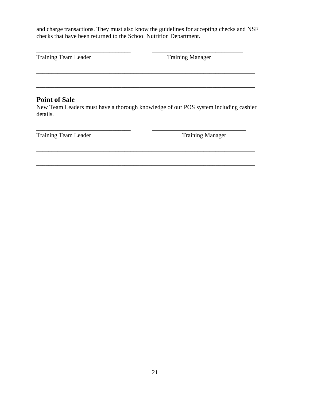and charge transactions. They must also know the guidelines for accepting checks and NSF checks that have been returned to the School Nutrition Department.

\_\_\_\_\_\_\_\_\_\_\_\_\_\_\_\_\_\_\_\_\_\_\_\_\_\_\_\_\_\_\_ \_\_\_\_\_\_\_\_\_\_\_\_\_\_\_\_\_\_\_\_\_\_\_\_\_\_\_\_\_\_

Training Team Leader Training Manager

## **Point of Sale**

New Team Leaders must have a thorough knowledge of our POS system including cashier details.

\_\_\_\_\_\_\_\_\_\_\_\_\_\_\_\_\_\_\_\_\_\_\_\_\_\_\_\_\_\_\_\_\_\_\_\_\_\_\_\_\_\_\_\_\_\_\_\_\_\_\_\_\_\_\_\_\_\_\_\_\_\_\_\_\_\_\_\_\_\_\_\_

\_\_\_\_\_\_\_\_\_\_\_\_\_\_\_\_\_\_\_\_\_\_\_\_\_\_\_\_\_\_\_\_\_\_\_\_\_\_\_\_\_\_\_\_\_\_\_\_\_\_\_\_\_\_\_\_\_\_\_\_\_\_\_\_\_\_\_\_\_\_\_\_

\_\_\_\_\_\_\_\_\_\_\_\_\_\_\_\_\_\_\_\_\_\_\_\_\_\_\_\_\_\_\_ \_\_\_\_\_\_\_\_\_\_\_\_\_\_\_\_\_\_\_\_\_\_\_\_\_\_\_\_\_\_\_

\_\_\_\_\_\_\_\_\_\_\_\_\_\_\_\_\_\_\_\_\_\_\_\_\_\_\_\_\_\_\_\_\_\_\_\_\_\_\_\_\_\_\_\_\_\_\_\_\_\_\_\_\_\_\_\_\_\_\_\_\_\_\_\_\_\_\_\_\_\_\_\_

\_\_\_\_\_\_\_\_\_\_\_\_\_\_\_\_\_\_\_\_\_\_\_\_\_\_\_\_\_\_\_\_\_\_\_\_\_\_\_\_\_\_\_\_\_\_\_\_\_\_\_\_\_\_\_\_\_\_\_\_\_\_\_\_\_\_\_\_\_\_\_\_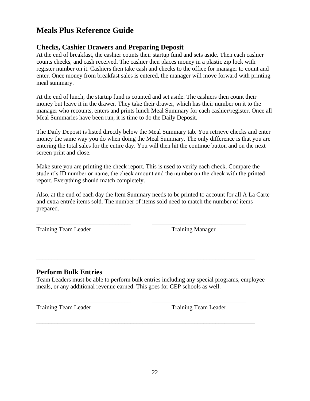# **Meals Plus Reference Guide**

## **Checks, Cashier Drawers and Preparing Deposit**

At the end of breakfast, the cashier counts their startup fund and sets aside. Then each cashier counts checks, and cash received. The cashier then places money in a plastic zip lock with register number on it. Cashiers then take cash and checks to the office for manager to count and enter. Once money from breakfast sales is entered, the manager will move forward with printing meal summary.

At the end of lunch, the startup fund is counted and set aside. The cashiers then count their money but leave it in the drawer. They take their drawer, which has their number on it to the manager who recounts, enters and prints lunch Meal Summary for each cashier/register. Once all Meal Summaries have been run, it is time to do the Daily Deposit.

The Daily Deposit is listed directly below the Meal Summary tab. You retrieve checks and enter money the same way you do when doing the Meal Summary. The only difference is that you are entering the total sales for the entire day. You will then hit the continue button and on the next screen print and close.

Make sure you are printing the check report. This is used to verify each check. Compare the student's ID number or name, the check amount and the number on the check with the printed report. Everything should match completely.

Also, at the end of each day the Item Summary needs to be printed to account for all A La Carte and extra entrée items sold. The number of items sold need to match the number of items prepared.

\_\_\_\_\_\_\_\_\_\_\_\_\_\_\_\_\_\_\_\_\_\_\_\_\_\_\_\_\_\_\_ \_\_\_\_\_\_\_\_\_\_\_\_\_\_\_\_\_\_\_\_\_\_\_\_\_\_\_\_\_\_\_

\_\_\_\_\_\_\_\_\_\_\_\_\_\_\_\_\_\_\_\_\_\_\_\_\_\_\_\_\_\_\_\_\_\_\_\_\_\_\_\_\_\_\_\_\_\_\_\_\_\_\_\_\_\_\_\_\_\_\_\_\_\_\_\_\_\_\_\_\_\_\_\_

\_\_\_\_\_\_\_\_\_\_\_\_\_\_\_\_\_\_\_\_\_\_\_\_\_\_\_\_\_\_\_\_\_\_\_\_\_\_\_\_\_\_\_\_\_\_\_\_\_\_\_\_\_\_\_\_\_\_\_\_\_\_\_\_\_\_\_\_\_\_\_\_

\_\_\_\_\_\_\_\_\_\_\_\_\_\_\_\_\_\_\_\_\_\_\_\_\_\_\_\_\_\_\_ \_\_\_\_\_\_\_\_\_\_\_\_\_\_\_\_\_\_\_\_\_\_\_\_\_\_\_\_\_\_\_

\_\_\_\_\_\_\_\_\_\_\_\_\_\_\_\_\_\_\_\_\_\_\_\_\_\_\_\_\_\_\_\_\_\_\_\_\_\_\_\_\_\_\_\_\_\_\_\_\_\_\_\_\_\_\_\_\_\_\_\_\_\_\_\_\_\_\_\_\_\_\_\_

\_\_\_\_\_\_\_\_\_\_\_\_\_\_\_\_\_\_\_\_\_\_\_\_\_\_\_\_\_\_\_\_\_\_\_\_\_\_\_\_\_\_\_\_\_\_\_\_\_\_\_\_\_\_\_\_\_\_\_\_\_\_\_\_\_\_\_\_\_\_\_\_

Training Team Leader Training Manager

#### **Perform Bulk Entries**

Team Leaders must be able to perform bulk entries including any special programs, employee meals, or any additional revenue earned. This goes for CEP schools as well.

Training Team Leader Training Team Leader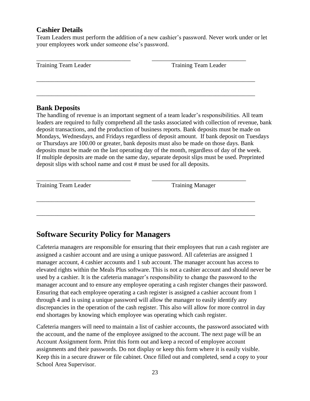## **Cashier Details**

Team Leaders must perform the addition of a new cashier's password. Never work under or let your employees work under someone else's password.

| Training Team Leader | <b>Training Team Leader</b> |
|----------------------|-----------------------------|
|                      |                             |
|                      |                             |

\_\_\_\_\_\_\_\_\_\_\_\_\_\_\_\_\_\_\_\_\_\_\_\_\_\_\_\_\_\_\_\_\_\_\_\_\_\_\_\_\_\_\_\_\_\_\_\_\_\_\_\_\_\_\_\_\_\_\_\_\_\_\_\_\_\_\_\_\_\_\_\_

#### **Bank Deposits**

The handling of revenue is an important segment of a team leader's responsibilities. All team leaders are required to fully comprehend all the tasks associated with collection of revenue, bank deposit transactions, and the production of business reports. Bank deposits must be made on Mondays, Wednesdays, and Fridays regardless of deposit amount. If bank deposit on Tuesdays or Thursdays are 100.00 or greater, bank deposits must also be made on those days. Bank deposits must be made on the last operating day of the month, regardless of day of the week. If multiple deposits are made on the same day, separate deposit slips must be used. Preprinted deposit slips with school name and cost # must be used for all deposits.

\_\_\_\_\_\_\_\_\_\_\_\_\_\_\_\_\_\_\_\_\_\_\_\_\_\_\_\_\_\_\_\_\_\_\_\_\_\_\_\_\_\_\_\_\_\_\_\_\_\_\_\_\_\_\_\_\_\_\_\_\_\_\_\_\_\_\_\_\_\_\_\_

\_\_\_\_\_\_\_\_\_\_\_\_\_\_\_\_\_\_\_\_\_\_\_\_\_\_\_\_\_\_\_\_\_\_\_\_\_\_\_\_\_\_\_\_\_\_\_\_\_\_\_\_\_\_\_\_\_\_\_\_\_\_\_\_\_\_\_\_\_\_\_\_

\_\_\_\_\_\_\_\_\_\_\_\_\_\_\_\_\_\_\_\_\_\_\_\_\_\_\_\_\_\_\_ \_\_\_\_\_\_\_\_\_\_\_\_\_\_\_\_\_\_\_\_\_\_\_\_\_\_\_\_\_\_\_ Training Manager

# **Software Security Policy for Managers**

Cafeteria managers are responsible for ensuring that their employees that run a cash register are assigned a cashier account and are using a unique password. All cafeterias are assigned 1 manager account, 4 cashier accounts and 1 sub account. The manager account has access to elevated rights within the Meals Plus software. This is not a cashier account and should never be used by a cashier. It is the cafeteria manager's responsibility to change the password to the manager account and to ensure any employee operating a cash register changes their password. Ensuring that each employee operating a cash register is assigned a cashier account from 1 through 4 and is using a unique password will allow the manager to easily identify any discrepancies in the operation of the cash register. This also will allow for more control in day end shortages by knowing which employee was operating which cash register.

Cafeteria mangers will need to maintain a list of cashier accounts, the password associated with the account, and the name of the employee assigned to the account. The next page will be an Account Assignment form. Print this form out and keep a record of employee account assignments and their passwords. Do not display or keep this form where it is easily visible. Keep this in a secure drawer or file cabinet. Once filled out and completed, send a copy to your School Area Supervisor.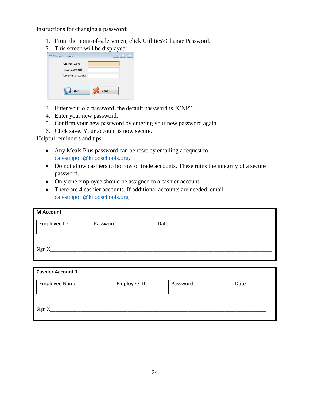Instructions for changing a password:

- 1. From the point-of-sale screen, click Utilities>Change Password.
- 2. This screen will be displayed:

| Change Password                                  | $\Sigma\!$<br>▣ |
|--------------------------------------------------|-----------------|
| Old Password<br>New Password<br>Confirm Password |                 |
| Save                                             | Close           |

- 3. Enter your old password, the default password is "CNP".
- 4. Enter your new password.
- 5. Confirm your new password by entering your new password again.
- 6. Click save. Your account is now secure.

Helpful reminders and tips:

- Any Meals Plus password can be reset by emailing a request to [cafesupport@knoxschools.org.](mailto:cafesupport@knoxschools.org)
- Do not allow cashiers to borrow or trade accounts. These ruins the integrity of a secure password.
- Only one employee should be assigned to a cashier account.
- There are 4 cashier accounts. If additional accounts are needed, email [cafesupport@knoxschools.org](mailto:cafesupport@knoxschools.org)

| <b>M</b> Account |          |      |
|------------------|----------|------|
| Employee ID      | Password | Date |
|                  |          |      |
| Sign X           |          |      |
|                  |          |      |

| <b>Cashier Account 1</b> |             |          |      |  |
|--------------------------|-------------|----------|------|--|
| <b>Employee Name</b>     | Employee ID | Password | Date |  |
|                          |             |          |      |  |
|                          |             |          |      |  |
| Sign X                   |             |          |      |  |
|                          |             |          |      |  |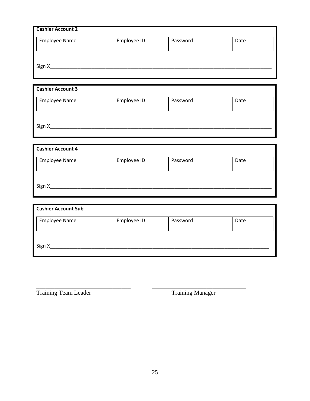| <b>Cashier Account 2</b> |             |          |      |
|--------------------------|-------------|----------|------|
| <b>Employee Name</b>     | Employee ID | Password | Date |
|                          |             |          |      |
|                          |             |          |      |
| Sign X                   |             |          |      |
|                          |             |          |      |

| <b>Cashier Account 3</b> |             |          |      |
|--------------------------|-------------|----------|------|
| <b>Employee Name</b>     | Employee ID | Password | Date |
|                          |             |          |      |
|                          |             |          |      |
| Sign X                   |             |          |      |
|                          |             |          |      |

| <b>Cashier Account 4</b> |             |          |      |
|--------------------------|-------------|----------|------|
| <b>Employee Name</b>     | Employee ID | Password | Date |
|                          |             |          |      |
|                          |             |          |      |
| Sign X                   |             |          |      |

| <b>Cashier Account Sub</b> |             |          |      |
|----------------------------|-------------|----------|------|
| <b>Employee Name</b>       | Employee ID | Password | Date |
|                            |             |          |      |
|                            |             |          |      |
| Sign X                     |             |          |      |

\_\_\_\_\_\_\_\_\_\_\_\_\_\_\_\_\_\_\_\_\_\_\_\_\_\_\_\_\_\_\_ \_\_\_\_\_\_\_\_\_\_\_\_\_\_\_\_\_\_\_\_\_\_\_\_\_\_\_\_\_\_\_

\_\_\_\_\_\_\_\_\_\_\_\_\_\_\_\_\_\_\_\_\_\_\_\_\_\_\_\_\_\_\_\_\_\_\_\_\_\_\_\_\_\_\_\_\_\_\_\_\_\_\_\_\_\_\_\_\_\_\_\_\_\_\_\_\_\_\_\_\_\_\_\_

\_\_\_\_\_\_\_\_\_\_\_\_\_\_\_\_\_\_\_\_\_\_\_\_\_\_\_\_\_\_\_\_\_\_\_\_\_\_\_\_\_\_\_\_\_\_\_\_\_\_\_\_\_\_\_\_\_\_\_\_\_\_\_\_\_\_\_\_\_\_\_\_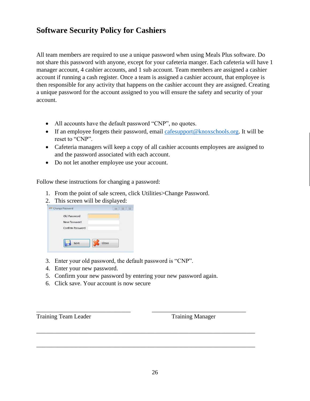# **Software Security Policy for Cashiers**

All team members are required to use a unique password when using Meals Plus software. Do not share this password with anyone, except for your cafeteria manger. Each cafeteria will have 1 manager account, 4 cashier accounts, and 1 sub account. Team members are assigned a cashier account if running a cash register. Once a team is assigned a cashier account, that employee is then responsible for any activity that happens on the cashier account they are assigned. Creating a unique password for the account assigned to you will ensure the safety and security of your account.

- All accounts have the default password "CNP", no quotes.
- If an employee forgets their password, email [cafesupport@knoxschools.org.](mailto:cafesupport@knoxschools.org) It will be reset to "CNP".
- Cafeteria managers will keep a copy of all cashier accounts employees are assigned to and the password associated with each account.
- Do not let another employee use your account.

Follow these instructions for changing a password:

- 1. From the point of sale screen, click Utilities>Change Password.
- 2. This screen will be displayed:

| Old Password     |       |
|------------------|-------|
| New Password     |       |
| Confirm Password |       |
|                  |       |
|                  |       |
| Save             | Close |

- 3. Enter your old password, the default password is "CNP".
- 4. Enter your new password.
- 5. Confirm your new password by entering your new password again.

\_\_\_\_\_\_\_\_\_\_\_\_\_\_\_\_\_\_\_\_\_\_\_\_\_\_\_\_\_\_\_ \_\_\_\_\_\_\_\_\_\_\_\_\_\_\_\_\_\_\_\_\_\_\_\_\_\_\_\_\_\_\_

\_\_\_\_\_\_\_\_\_\_\_\_\_\_\_\_\_\_\_\_\_\_\_\_\_\_\_\_\_\_\_\_\_\_\_\_\_\_\_\_\_\_\_\_\_\_\_\_\_\_\_\_\_\_\_\_\_\_\_\_\_\_\_\_\_\_\_\_\_\_\_\_

\_\_\_\_\_\_\_\_\_\_\_\_\_\_\_\_\_\_\_\_\_\_\_\_\_\_\_\_\_\_\_\_\_\_\_\_\_\_\_\_\_\_\_\_\_\_\_\_\_\_\_\_\_\_\_\_\_\_\_\_\_\_\_\_\_\_\_\_\_\_\_\_

6. Click save. Your account is now secure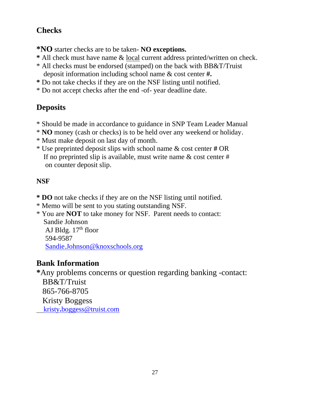# **Checks**

**\*NO** starter checks are to be taken- **NO exceptions.**

- **\*** All check must have name & local current address printed/written on check.
- \* All checks must be endorsed (stamped) on the back with BB&T/Truist deposit information including school name & cost center **#.**
- **\*** Do not take checks if they are on the NSF listing until notified.
- \* Do not accept checks after the end -of- year deadline date.

# **Deposits**

- \* Should be made in accordance to guidance in SNP Team Leader Manual
- \* **NO** money (cash or checks) is to be held over any weekend or holiday.
- \* Must make deposit on last day of month.
- \* Use preprinted deposit slips with school name & cost center **#** OR If no preprinted slip is available, must write name  $\&$  cost center # on counter deposit slip.

# **NSF**

- **\* DO** not take checks if they are on the NSF listing until notified.
- \* Memo will be sent to you stating outstanding NSF.
- \* You are **NOT** to take money for NSF. Parent needs to contact: Sandie Johnson AJ Bldg.  $17<sup>th</sup>$  floor 594-9587 [Sandie.Johnson@knoxschools.org](mailto:Sandie.Johnson@knoxschools.org)

# **Bank Information**

**\***Any problems concerns or question regarding banking -contact: BB&T/Truist 865-766-8705 Kristy Boggess kristy**.**[boggess@truist.com](mailto:kristy.boggess@truist.com)